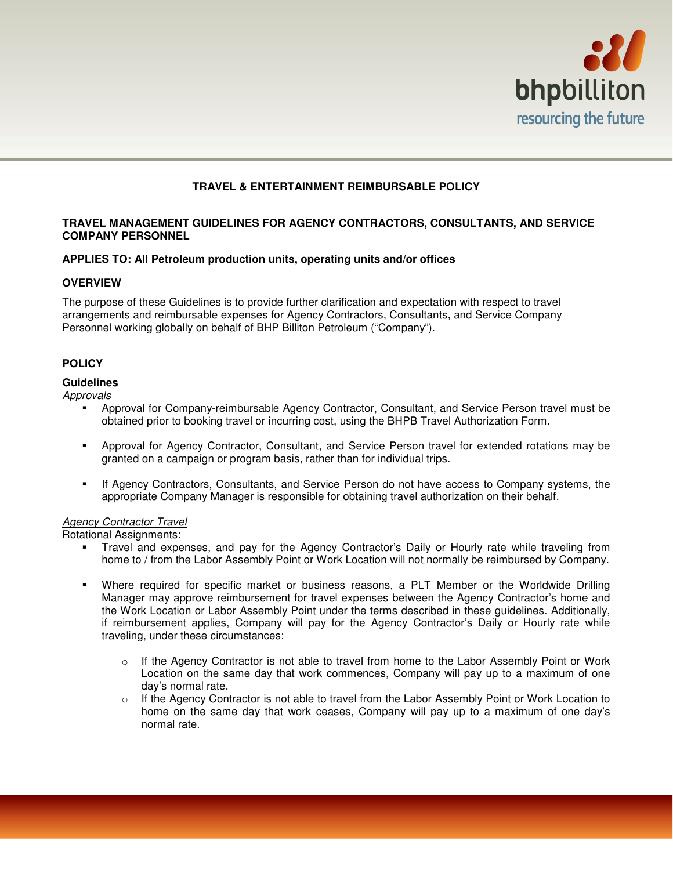

# **TRAVEL & ENTERTAINMENT REIMBURSABLE POLICY**

### **TRAVEL MANAGEMENT GUIDELINES FOR AGENCY CONTRACTORS, CONSULTANTS, AND SERVICE COMPANY PERSONNEL**

### **APPLIES TO: All Petroleum production units, operating units and/or offices**

### **OVERVIEW**

The purpose of these Guidelines is to provide further clarification and expectation with respect to travel arrangements and reimbursable expenses for Agency Contractors, Consultants, and Service Company Personnel working globally on behalf of BHP Billiton Petroleum ("Company").

## **POLICY**

### **Guidelines**

**Approvals** 

- Approval for Company-reimbursable Agency Contractor, Consultant, and Service Person travel must be obtained prior to booking travel or incurring cost, using the BHPB Travel Authorization Form.
- Approval for Agency Contractor, Consultant, and Service Person travel for extended rotations may be granted on a campaign or program basis, rather than for individual trips.
- If Agency Contractors, Consultants, and Service Person do not have access to Company systems, the appropriate Company Manager is responsible for obtaining travel authorization on their behalf.

### Agency Contractor Travel

Rotational Assignments:

- Travel and expenses, and pay for the Agency Contractor's Daily or Hourly rate while traveling from home to / from the Labor Assembly Point or Work Location will not normally be reimbursed by Company.
- Where required for specific market or business reasons, a PLT Member or the Worldwide Drilling Manager may approve reimbursement for travel expenses between the Agency Contractor's home and the Work Location or Labor Assembly Point under the terms described in these guidelines. Additionally, if reimbursement applies, Company will pay for the Agency Contractor's Daily or Hourly rate while traveling, under these circumstances:
	- $\circ$  If the Agency Contractor is not able to travel from home to the Labor Assembly Point or Work Location on the same day that work commences, Company will pay up to a maximum of one day's normal rate.
	- $\circ$  If the Agency Contractor is not able to travel from the Labor Assembly Point or Work Location to home on the same day that work ceases, Company will pay up to a maximum of one day's normal rate.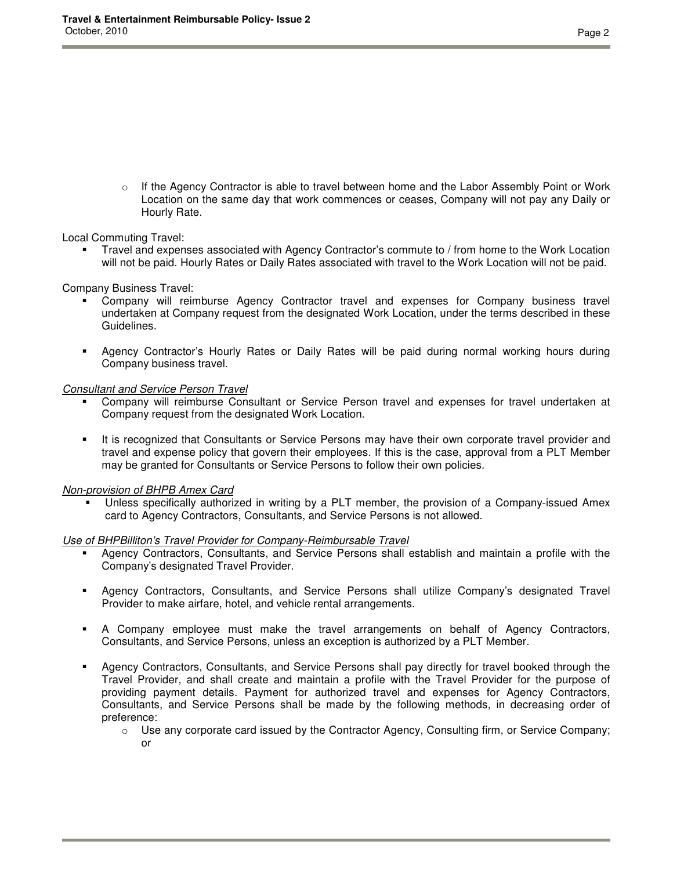$\circ$  If the Agency Contractor is able to travel between home and the Labor Assembly Point or Work Location on the same day that work commences or ceases, Company will not pay any Daily or Hourly Rate.

Local Commuting Travel:

 Travel and expenses associated with Agency Contractor's commute to / from home to the Work Location will not be paid. Hourly Rates or Daily Rates associated with travel to the Work Location will not be paid.

Company Business Travel:

- Company will reimburse Agency Contractor travel and expenses for Company business travel undertaken at Company request from the designated Work Location, under the terms described in these Guidelines.
- Agency Contractor's Hourly Rates or Daily Rates will be paid during normal working hours during Company business travel.

### Consultant and Service Person Travel

- Company will reimburse Consultant or Service Person travel and expenses for travel undertaken at Company request from the designated Work Location.
- It is recognized that Consultants or Service Persons may have their own corporate travel provider and travel and expense policy that govern their employees. If this is the case, approval from a PLT Member may be granted for Consultants or Service Persons to follow their own policies.

## Non-provision of BHPB Amex Card

 Unless specifically authorized in writing by a PLT member, the provision of a Company-issued Amex card to Agency Contractors, Consultants, and Service Persons is not allowed.

### Use of BHPBilliton's Travel Provider for Company-Reimbursable Travel

- Agency Contractors, Consultants, and Service Persons shall establish and maintain a profile with the Company's designated Travel Provider.
- Agency Contractors, Consultants, and Service Persons shall utilize Company's designated Travel Provider to make airfare, hotel, and vehicle rental arrangements.
- A Company employee must make the travel arrangements on behalf of Agency Contractors, Consultants, and Service Persons, unless an exception is authorized by a PLT Member.
- Agency Contractors, Consultants, and Service Persons shall pay directly for travel booked through the Travel Provider, and shall create and maintain a profile with the Travel Provider for the purpose of providing payment details. Payment for authorized travel and expenses for Agency Contractors, Consultants, and Service Persons shall be made by the following methods, in decreasing order of preference:
	- $\circ$  Use any corporate card issued by the Contractor Agency, Consulting firm, or Service Company; or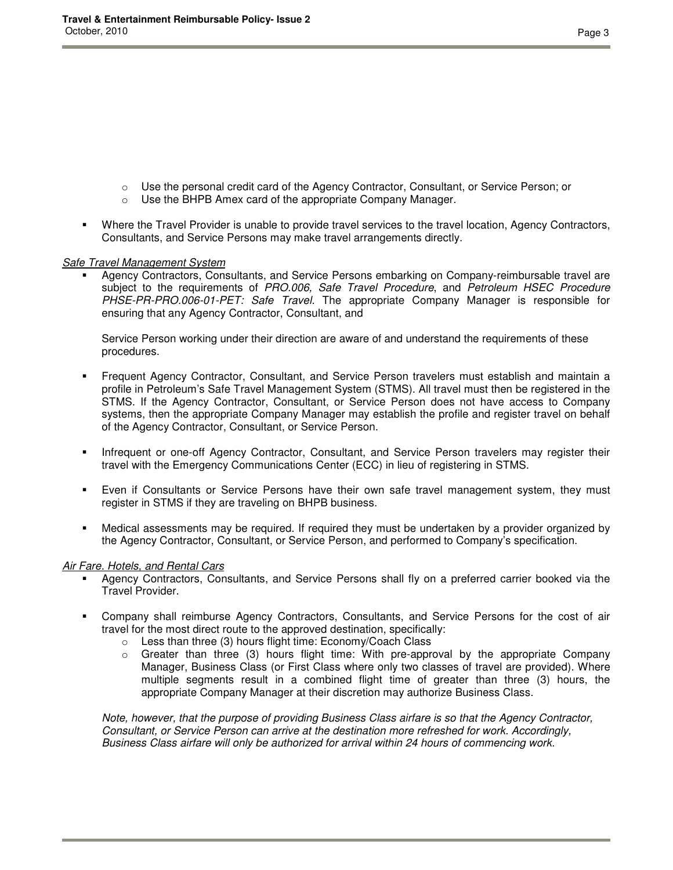- o Use the personal credit card of the Agency Contractor, Consultant, or Service Person; or
- o Use the BHPB Amex card of the appropriate Company Manager.
- Where the Travel Provider is unable to provide travel services to the travel location, Agency Contractors, Consultants, and Service Persons may make travel arrangements directly.

### Safe Travel Management System

 Agency Contractors, Consultants, and Service Persons embarking on Company-reimbursable travel are subject to the requirements of PRO.006, Safe Travel Procedure, and Petroleum HSEC Procedure PHSE-PR-PRO.006-01-PET: Safe Travel. The appropriate Company Manager is responsible for ensuring that any Agency Contractor, Consultant, and

Service Person working under their direction are aware of and understand the requirements of these procedures.

- Frequent Agency Contractor, Consultant, and Service Person travelers must establish and maintain a profile in Petroleum's Safe Travel Management System (STMS). All travel must then be registered in the STMS. If the Agency Contractor, Consultant, or Service Person does not have access to Company systems, then the appropriate Company Manager may establish the profile and register travel on behalf of the Agency Contractor, Consultant, or Service Person.
- Infrequent or one-off Agency Contractor, Consultant, and Service Person travelers may register their travel with the Emergency Communications Center (ECC) in lieu of registering in STMS.
- Even if Consultants or Service Persons have their own safe travel management system, they must register in STMS if they are traveling on BHPB business.
- Medical assessments may be required. If required they must be undertaken by a provider organized by the Agency Contractor, Consultant, or Service Person, and performed to Company's specification.

### Air Fare. Hotels, and Rental Cars

- Agency Contractors, Consultants, and Service Persons shall fly on a preferred carrier booked via the Travel Provider.
- Company shall reimburse Agency Contractors, Consultants, and Service Persons for the cost of air travel for the most direct route to the approved destination, specifically:
	- o Less than three (3) hours flight time: Economy/Coach Class
	- $\circ$  Greater than three (3) hours flight time: With pre-approval by the appropriate Company Manager, Business Class (or First Class where only two classes of travel are provided). Where multiple segments result in a combined flight time of greater than three (3) hours, the appropriate Company Manager at their discretion may authorize Business Class.

Note, however, that the purpose of providing Business Class airfare is so that the Agency Contractor, Consultant, or Service Person can arrive at the destination more refreshed for work. Accordingly, Business Class airfare will only be authorized for arrival within 24 hours of commencing work.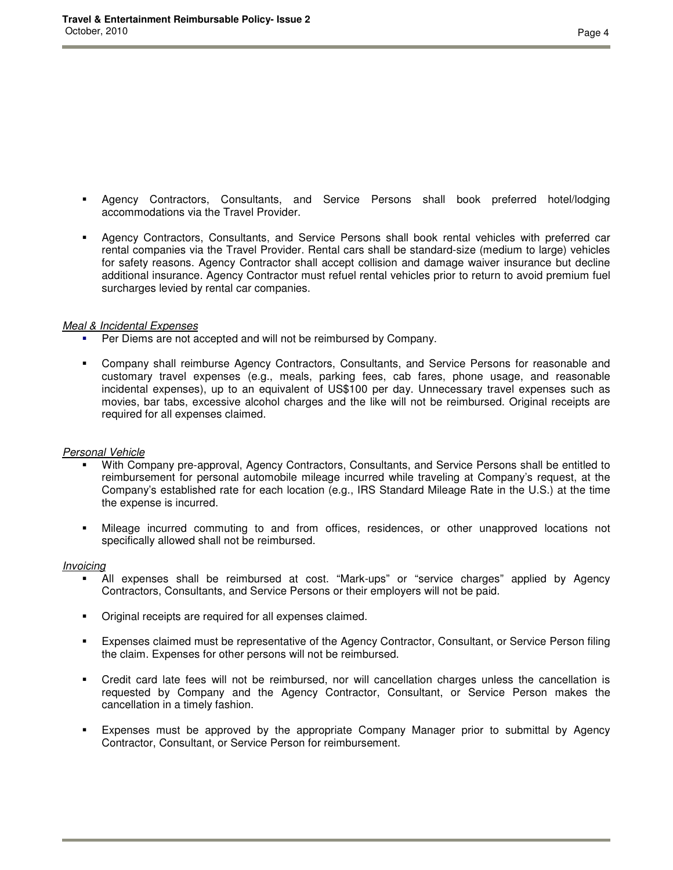- Agency Contractors, Consultants, and Service Persons shall book preferred hotel/lodging accommodations via the Travel Provider.
- Agency Contractors, Consultants, and Service Persons shall book rental vehicles with preferred car rental companies via the Travel Provider. Rental cars shall be standard-size (medium to large) vehicles for safety reasons. Agency Contractor shall accept collision and damage waiver insurance but decline additional insurance. Agency Contractor must refuel rental vehicles prior to return to avoid premium fuel surcharges levied by rental car companies.

#### Meal & Incidental Expenses

- Per Diems are not accepted and will not be reimbursed by Company.
- Company shall reimburse Agency Contractors, Consultants, and Service Persons for reasonable and customary travel expenses (e.g., meals, parking fees, cab fares, phone usage, and reasonable incidental expenses), up to an equivalent of US\$100 per day. Unnecessary travel expenses such as movies, bar tabs, excessive alcohol charges and the like will not be reimbursed. Original receipts are required for all expenses claimed.

### Personal Vehicle

- With Company pre-approval, Agency Contractors, Consultants, and Service Persons shall be entitled to reimbursement for personal automobile mileage incurred while traveling at Company's request, at the Company's established rate for each location (e.g., IRS Standard Mileage Rate in the U.S.) at the time the expense is incurred.
- Mileage incurred commuting to and from offices, residences, or other unapproved locations not specifically allowed shall not be reimbursed.

#### Invoicing

- All expenses shall be reimbursed at cost. "Mark-ups" or "service charges" applied by Agency Contractors, Consultants, and Service Persons or their employers will not be paid.
- Original receipts are required for all expenses claimed.
- Expenses claimed must be representative of the Agency Contractor, Consultant, or Service Person filing the claim. Expenses for other persons will not be reimbursed.
- Credit card late fees will not be reimbursed, nor will cancellation charges unless the cancellation is requested by Company and the Agency Contractor, Consultant, or Service Person makes the cancellation in a timely fashion.
- Expenses must be approved by the appropriate Company Manager prior to submittal by Agency Contractor, Consultant, or Service Person for reimbursement.